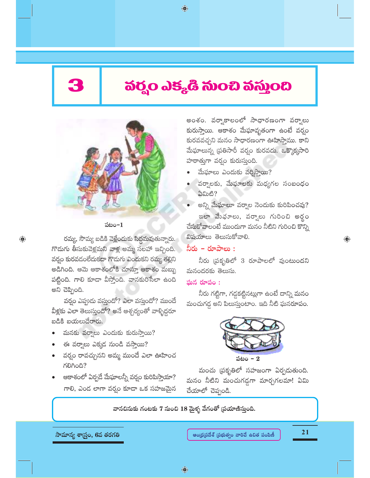$\bigoplus$ 

# వర్హం ఎక్కడి సుంచి వస్తుంది

 $\bigoplus$ 



#### పటం $-1$

రమ్య, సౌమ్య బడికి వెళ్లేందుకు సిద్ధమవుతున్నారు. గొడుగు తీసుకువెళ్లమని వాళ్ల అమ్మ సలహా ఇచ్చింది. వర్గం కురవడంలేదుకదా గొడుగు ఎందుకని రమ్య తల్లిని అడిగింది. ఆమె ఆకాశంలోకి చూస్తూ ఆకాశం మబ్బు పట్టింది. గాలి కూడా వీస్తోంది. వానకురిసేలా ఉంది అని చెప్పింది.

వర్షం ఎప్పుడు వస్తుందో? ఎలా వస్తుందో? ముందే వీళ్లకు ఎలా తెలుస్తుందో? అనే ఆశ్చర్యంతో వాళ్ళిద్దరూ బడికి బయలుదేరారు.

- మనకు వర్వాలు ఎందుకు కురుస్తాయి?
- ఈ వర్వాలు ఎక్కడ నుండి వస్తాయి?
- వర్షం రావచ్చునని అమ్మ ముందే ఎలా ఊహించ KOROA?
- ఆకాశంలో ఏర్పదే మేఘాలన్నీ వర్షం కురిపిస్తాయా? గాలి, ఎండ లాగా వర్నం కూడా ఒక సహజమైన

అంశం. వర్వాకాలంలో సాధారణంగా వర్వాలు కురుస్తాయి. ఆకాశం మేఘావృతంగా ఉంటే వర్షం కురవవచ్చని మనం సాధారణంగా ఊహిస్తాము. కాని మేఘాలున్న ప్రతిసారీ వర్వం కురవదు. ఒక్కొక్కసారి హఠాత్తుగా వర్వం కురుస్తుంది.

- మేఘాలు ఎందుకు వర్యిస్తాయి?
- వర్వాలకు, మేఘాలకు మధ్యగల సంబంధం ఏమిటి?
- అన్ని మేఘాలూ వర్వాల నెందుకు కురిపించవు? ఇలా మేఛూలు, వర్వాలు గురించి అర్థం చేసుకోవాలంటే ముందుగా మనం నీటిని గురించి కొన్ని విషయాలు తెలుసుకోవాలి.

#### నీరు – రూపాలు :

నీరు (పకృతిలో 3 రూపాలలో వుంటుందని మనందరకు తెలుసు.

#### ఘన రూపం:

నీరు గట్టిగా, గడ్డకట్టినట్లుగా ఉంటే దాన్ని మనం మంచుగడ్డ అని పిలుస్తుంటాం. ఇది నీటి ఘనరూపం.



మంచు (పకృతిలో సహజంగా ఏర్పదుతుంది. మనం నీటిని మంచుగడ్డగా మార్చగలమా! ఏమి చేయాలో చెప్పండి.

వానచినుకు గంటకు 7 నుంచి 18 మైళ్ళ వేగంతో (పయాణిస్తుంది.

సామాన్య శాస్ర్టం, 6వ తరగతి

 $21$ 

 $\textcolor{black}{\textcolor{black}{\bigoplus}}$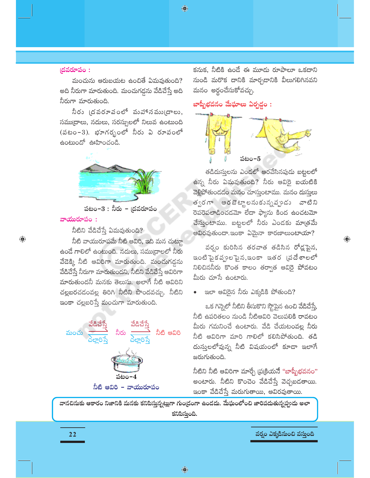◈

#### $\sim$  ) (దవరూపం:

మంచును ఆరుబయట ఉంచితే ఏమవుతుంది? అది నీరుగా మారుతుంది. మంచుగడ్డను వేడిచేస్తే అది నీరుగా మారుతుంది.

నీరు (దవరూవంలో వుహానము(దాలు, సముద్రాలు, నదులు, సరస్సులలో నిలువ ఉంటుంది (పటం-3). భూగర్భంలో నీరు ఏ రూపంలో ఉంటుందో ఊహించండి.



పటం− $3:$  నీరు − (దవరూపం

#### వాయురూపం:

 $\bigoplus$ 

నీటిని వేడిచేస్తే ఏమవుతుంది?

నీటి వాయురూపమే నీటి ఆవిరి, ఇది మన చుట్టూ ఉండే గాలిలో ఉంటుంది. నదులు, సముద్రాలలో నీరు వేదెక్కి నీటి ఆవిరిగా మారుతుంది. మంచుగడ్డను వేడిచేస్తే నీరుగా మారుతుందని, నీటిని వేడిచేస్తే ఆవిరిగా మారుతుందనీ మనకు తెలుసు. అలాగే నీటి ఆవిరిని చల్లబరచడంవల్ల తిరిగి నీటిని పొందవచ్చు. నీటిని ఇంకా చల్లబరిస్తే మంచుగా మారుతుంది.



కనుక, నీటికి ఉండే ఈ మూడు రూపాలూ ఒకదాని నుండి మరొక దానికి మార్చడానికి వీలుగలిగినవని మనం అర్థంచేసుకోవచ్చు.

### బాష్పీభవనం మేఘాలు ఏర్పడ్డం :



తడిదుస్తులను ఎండలో ఆరవేసినపుడు బట్టలలో ఉన్న నీరు ఏమవుతుంది? నీరు ఆవిరై బయటికి వెళ్లిపోతుందడం మనం చూస్తుంటాము. మనం దుస్తులు త్వరగా ఆరబెట్టాలనుకున్నవృండు వాటిని రెపరెపలాడించడమో లేదా ఫ్యాను కింద ఉంచటమో చేస్తుంటాము. బట్టలలో నీరు ఎండకు మాత్రమే ఆవిరవుతుందా.ఇంకా ఏమైనా కారణాలుంటాయా?

వర్వం కురిసిన తరవాత తడిసిన రోడ్లపైన, ఇంటిఫైకవృంలపైన,ఇంకా ఇతర (పదేశాలలో నిలిచిననీరు కొంత కాలం తర్వాత ఆవిరై పోవటం మీరు చూసే ఉంటారు.

 $\bigoplus$ 

ఇలా ఆవిరైన నీరు ఎక్కడికి పోతుంది?

ఒక గిన్నెలో నీటిని తీసుకొని స్త్రాపైన ఉంచి వేడిచేస్తే, నీటి ఉపరితలం నుండి నీటిఆవిరి వెలుపలికి రావటం మీరు గమనించే ఉంటారు. వేడి చేయటంవల్ల నీరు నీటి ఆవిరిగా మారి గాలిలో కలిసిపోతుంది. తడి దుసులలోవున్న నీటి విషయంలో కూడా ఇలాగే జరుగుతుంది.

నీటిని నీటి ఆవిరిగా మార్చే (ప్రక్రియనే "బాష్బీభవనం" అంటారు. నీటిని కొంచెం వేడిచేస్తే వెచ్చబడతాయి. ఇంకా వేడిచేస్తే మరుగుతాయి, ఆవిరవుతాయి.

వానచినుకు ఆకారం నిజానికి మనకు కనిపిస్తున్నట్లుగా గుండ్రంగా ఉండదు. మేఘంలోంచి జారిపదుతున్నప్పుడు అలా కనిపిస్తుంది.

#### వర్వం ఎక్కడినుంచి వస్తుంది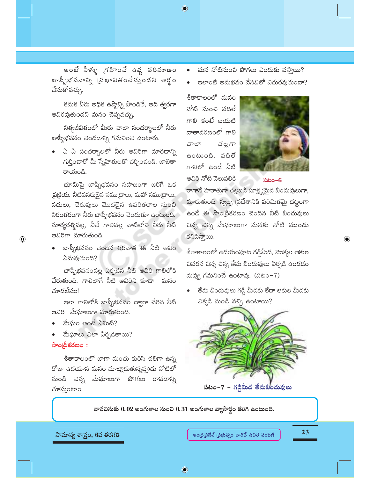అంటే నీళ్ళు (గహించే ఉష్ణ పరిమాణం బాష్పీభవనాన్ని (పభావితంచేస్తుందని అర్థం చేసుకోవచ్చు.

కనుక నీరు అధిక ఉష్ణాన్ని పొందితే, అది త్వరగా ఆవిరవుతుందని మనం చెప్పవచ్చు.

నిత్యజీవితంలో మీరు చాలా సందర్భాలలో నీరు బాష్పీభవనం చెందడాన్ని గమనించి ఉంటారు.

ఏ ఏ సందర్భాలలో నీరు ఆవిరిగా మారడాన్ని గుర్తించారో మీ స్నేహితులతో చర్చించండి. జాబితా రాయండి.

భూమిపై బాష్పీభవనం సహజంగా జరిగే ఒక (పట్రియ. నీటివనరులైన సముద్రాలు, మహా సముద్రాలు, నదులు, చెరువులు మొదలైన ఉపరితలాల నుంచి నిరంతరంగా నీరు బాష్పీభవనం చెందుతూ ఉంటుంది. సూర్యరశ్మివల్ల, వీచే గాలివల్ల వాటిలోని నీరు నీటి ఆవిరిగా మారుతుంది.

బాష్పీభవనం చెందిన తరవాత ఈ నీటి ఆవిరి ఏమవుతుంది?

బాష్పీభవనంవల్ల ఏర్పడిన నీటి ఆవిరి గాలిలోకి చేరుతుంది. గాలిలాగే నీటి ఆవిరిని కూడా మనం చూడలేము!

ఇలా గాలిలోకి బాష్పీభవనం ద్వారా చేరిన నీటి ఆవిరి ్ేఘాలుగా మారుతుంది.

- మేఘం అంటే ఏమిటి?
- మేఘాలు ఎలా ఏర్పడతాయి?

#### సాంద్రీకరణం :

 $\bigoplus$ 

శీతాకాలంలో బాగా మంచు కురిసి చలిగా ఉన్న రోజు ఉదయాన మనం మాట్లాడుతున్నప్పుడు నోటిలో నుండి చిన్న మేఘాలుగా పొగలు రావడాన్ని చూస్తుంటాం.

- మన నోటినుంచి పొగలు ఎందుకు వస్తాయి?
- ఇలాంటి అనుభవం వేసవిలో ఎదురవుతుందా?

శీతాకాలంలో మనం నోటి నుంచి వదిలే గాలి కంటే బయటి వాతావరణంలో గాలి చ ల్ల గా చాలా ఉంటుంది. వదిలే గాలిలో ఉండే నీటి ఆవిరి నోటి వెలుపలికి

 $\bigoplus$ 



పటం– $6$ 

రాగానే హఠాత్తుగా చల్లబడి సూక్ష్మమైన బిందువులుగా, మారుతుంది. స్వల్ప (పదేశానికి పరిమితమై దట్టంగా ఉండే ఈ సాం(దీకరణం చెందిన నీటి బిందువులు చిన్న చిన్న మేఫూలుగా మనకు నోటి ముందు కనిపిస్తాయి.

శీతాకాలంలో ఉదయంపూట గడ్డిమీద, మొక్కల ఆకుల చివరన చిన్న చిన్న తేమ బిందువులు ఏర్పడి ఉండడం నువ్వు గమనించే ఉంటావు. (పటం $-7$ )

తేమ బిందువులు గడ్డి మీదకు లేదా ఆకుల మీదకు ఎక్కడి నుండి వచ్చి ఉంటాయి?



వానచిసుకు 0.02 అంగుళాల నుంచి 0.31 అంగుళాల వ్యాసార్థం కలిగి ఉంటుంది.

సామాన్య శాస్ర్టం, 6వ తరగతి

23

 $\bigoplus$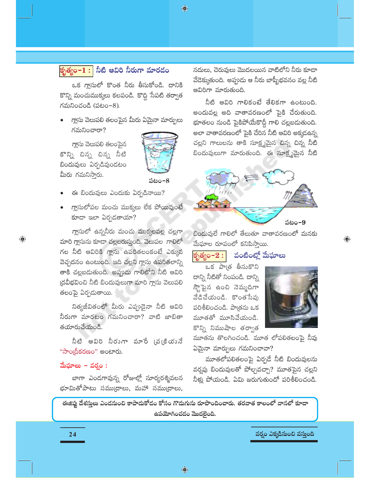♦



## <mark>కృత్యం− $1:$ </mark> నీటి ఆవిరి నీరుగా మారడం

ఒక గ్రాసులో కొంత నీరు తీసుకోండి. దానికి కొన్ని మంచుముక్కలు కలపండి. కొద్ది సేపటి తర్వాత  $\Lambda$ మనించండి (పటం $-8$ ).

గ్లాసు వెలుపలి తలంపైన మీరు ఏమైనా మార్పులు గమనించారా?

గ్లాసు వెలుపలి తలంపైన కొన్ని చిన్న చిన్న నీటి బిందువులు ఏర్పడివుండటం మీరు గమనిస్తారు.

 $\bigcirc$ 



పటం-8

- ఈ బిందువులు ఎందుకు ఏర్పడినాయి?
- గ్లాసులోపల మంచు ముక్కలు లేక పోయివుంటే కూడా ఇలా ఏర్పడతాయా?

గ్లాసులో ఉన్ననీరు మంచు ముక్కలవల్ల చల్లగా మారి గ్లాసును కూడా చల్లబరుస్తుంది. వెలుపల గాలిలో గల నీటి ఆవిరికి గ్లాసు ఉపరితలంకంటే ఎక్కువ వెచ్చదనం ఉంటుంది. ఇది చల్లని గ్లాసు ఉపరితలాన్ని తాకి చల్లబదుతుంది. అప్పుడు గాలిలోని నీటి ఆవిరి (దవీభవించి నీటి బిందువులుగా మారి గ్లాసు వెలుపలి తలంపై ఏర్పడుతాయి.

నిత్యజీవితంలో మీరు ఎప్పుడైనా నీటి ఆవిరి నీరుగా మారటం గమనించారా? వాటి జాబితా తయారుచేయండి.

నీటి ఆవిరి నీరుగా వూరే (వ[కియునే "సాం[దీకరణం" అంటారు.

#### మేఘాలు – వర్షం :

బాగా ఎండగావున్న రోజుల్లో సూర్యరశ్మివలన భూమితోపాటు సముద్రాలు, మహా సముద్రాలు,

నదులు, చెరువులు మొదలయిన వాటిలోని నీరు కూడా వేడెక్కుతుంది. అప్పుడు ఆ నీరు బాష్పీభవనం వల్ల నీటి ఆవిరిగా మారుతుంది.

నీటి ఆవిరి గాలికంటే తేలికగా ఉంటుంది. అందువల్ల అది వాతావరణంలో పైకి చేరుతుంది. భూతలం నుండి పైకిపోయేకొద్దీ గాలి చల్లబడుతుంది. అలా వాతావరణంలో పైకి చేరిన నీటి ఆవిరి అక్కడఉన్న చల్లని గాలులను తాకి సూక్ష్మమైన చిన్న చిన్న నీటి బిందువులుగా మారుతుంది. ఈ సూక్ష్మమైన నీటి



బిందువులే గాలిలో తేలుతూ వాతావరణంలో మనకు మేఘాల రూపంలో కనిపిస్తాయి.

#### వంటింట్తో మేఘాలు కృత్యం– $2:|$

ఒక పాత్ర తీసుకొని దాన్ని నీటితో నింపండి. దాన్ని స్ట్రాపైన ఉంచి నెమ్మదిగా వేడిచేయండి. కొంతసేపు పరిశీలించండి. పాత్రను ఒక మూతతో మూసివేయండి. కొన్ని నిముషాల తర్వాత



 $\textcolor{black}{\textcolor{black}{\bigoplus}}$ 

మూతను తొలగించండి. మూత లోపలితలంపై నీవు  $\delta$ మైనా మార్పులు గమనించావా?

మూతలోపలితలంపై ఏర్పడే నీటి బిందువులను వర్నపు బిందువులతో పోల్చవచ్చా? మూతపైన చల్లని నీళ్లు పోయండి. ఏమి జరుగుతుందో పరిశీలించండి.

ఈజిప్లు దేశస్తులు ఎందనుంచి కాపాదుకోదం కోసం గొడుగును రూపొందించారు. తరవాత కాలంలో వానలో కూడా ఉపయోగించడం మొదలైంది.

24

వర్వం ఎక్కడినుంచి వస్తుంది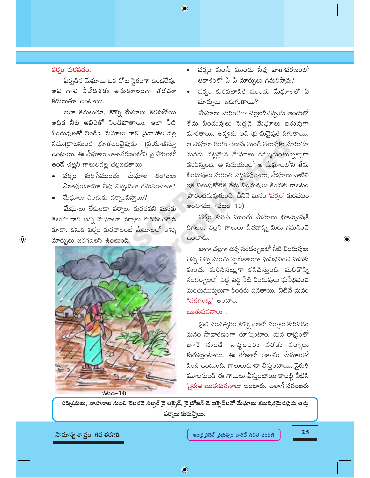$\bigoplus$ 

#### వర్తం కురవడం:

 $\bigcirc$ 

ఏర్పడిన మేఘాలు ఒక చోట స్థిరంగా ఉండలేవు. అవి గాలి వీచేదిశకు అనుకూలంగా తరచూ కదులుతూ ఉంటాయి.

అలా కదులుతూ, కొన్ని మేఘాలు కలిసిపోయి అధిక నీటి ఆవిరితో నిండిపోతాయి. ఇలా నీటి బిందువులతో నిండిన మేఘాలు గాలి (పవాహాల వల్ల సము[దాలనుండి భూతలంవైపుకు [పయాణిస్తూ ఉంటాయి. ఈ మేఘాలు వాతావరణంలోని పై పొరలలో ఉండే చల్లని గాలులవల్ల చల్లబడతాయి.

- వర్బం కురిసేముందు మేఘాల రంగులు ఎలావుంటాయో నీవు ఎప్పుడైనా గమనించావా?
- మేఘాలు ఎందుకు వర్వాలనిస్తాయి?

మేఘాలు లేకుండా వర్వాలు కురవవని మనకు తెలుసు.కాని అన్ని మేఘాలూ వర్వాలు కురిపించలేవు కూడా. కనుక వర్నం కురవాలంటే మేఘాలలో కొన్ని మార్పులు జరగవలసి ఉంటుంది.



పటం $-10$ 

- వర్బం కురిసే ముందు నీవు వాతావరణంలో ఆకాశంలో ఏ ఏ మార్పులు గమనిస్తావు?
- వర్వం కురవటానికి ముందు మేఘాలలో ఏ మార్పులు జరుగుతాయి?

మేఘాలు మరింతగా చల్లబడినప్పుడు అందులో తేమ బిందువులు పెద్దవై మేఛూలు బరువుగా మారతాయి. అప్పుడు అవి భూమివైపుకి దిగుతాయి. ఆ మేఘాల రంగు తెలుపు నుండి నలుపుకు మారుతూ మనకు దట్టమైన మేఘాలు కమ్ముకుంటున్నట్లుగా కనిపిస్తుంది. ఆ సమయంలో ఆ మేఘాలలోని తేమ బిందువులు మరింత పెద్దవవుతాయి, మేఘాలు వాటిని ఇక నిలుపుకోలేక తేమ బిందువులు కిందకు రాలటం (పారంభమవుతుంది. దీనినే మనం 'వర్ఘం' కురవటం అంటాము. (పటం $-10$ )

వర్వం కురిసే ముందు మేఘాలు భూమివైపుకి దిగటం, చల్లని గాలులు వీచడాన్ని మీరు గమనించే ఉంటారు.

బాగా చల్లగా ఉన్న సందర్భాలలో నీటి బిందువులు చిన్న చిన్న మంచు స్ఫటికాలుగా ఘనీభవించి మనకు మంచు కురిసినట్లుగా కనిపిస్తుంది. మరికొన్ని సందర్భాలలో పెద్ద పెద్ద నీటి బిందువులు ఘనీభవించి మంచుముక్కలుగా కిందకు పడతాయి. వీటినే మనం "వదగండ్లు" అంటాం.

#### ఋతుపవనాలు:

(పతి సంవత్సరం కొన్ని నెలలో వర్వాలు కురవడం మనం సాధారణంగా చూస్తుంటాం. మన రాష్ట్రంలో జూన్ నుండి సెప్టెంబరు వరకు వర్వాలు కురుస్తుంటాయి. ఈ రోజుల్లో ఆకాశం మేఘాలతో నిండి ఉంటుంది. గాలులుకూడా వీస్తుంటాయి. నైరుతి మూలనుండి ఈ గాలులు వీస్తుంటాయి కాబట్టి వీటిని 'నైరుతి ఋతుపవనాలు' అంటారు. అలాగే నవంబరు

పరి[శమలు, వాహనాల నుంచి వెలవడే సల్ఫర్ డై ఆక్ఫైడ్, నైట్రోజన్ డై ఆక్ఫైడ్లతో మేఘాలు కలుషితమైనపుడు ఆమ్ల వర్వాలు కురుస్తాయి.

సామాన్య శాస్ర్టం, 6వ తరగతి

25

 $\textcolor{black}{\textcolor{black}{\bigoplus}}$ 

 $\bigcirc$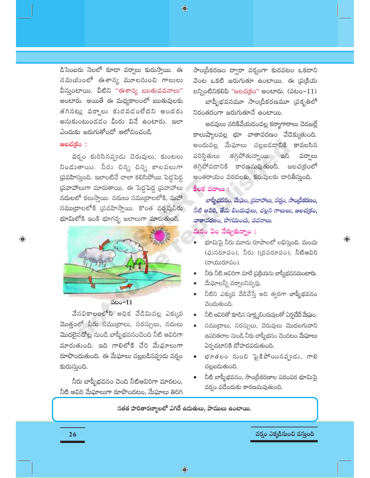♦

డిసెంబరు నెలలో కూడా వర్వాలు కురుస్తాయి. ఈ సమయంలో ఈశాన్య మూలనుంచి గాలులు వీస్తుంటాయి. వీటిని "ఈశాన్య ఋతుపవనాలు" అంటారు. అయితే ఈ మధ్యకాలంలో ఋతువులకు తగినట్లు వర్వాలు కురవడంలేదని అందరు అనుకుంటుండడం మీరు వినే ఉంటారు. ఇలా ఎందుకు జరుగుతోందో ఆలోచించండి.

#### జలచ(కం :

 $\bigoplus$ 

వర్వం కురిసినప్పుడు చెరువులు, కుంటలు నిండుతాయి. నీరు చిన్న చిన్న కాలవలుగా ప్రవహిస్తుంది. ఇలాంటివే చాలా కలిసిపోయి పెద్దపెద్ద ప్రవాహాలుగా మారుతాయి. ఈ పెద్దపెద్ద ప్రవాహాలు నదులలో కలుస్తాయి. నదులు సముద్రాలలోకి, మహా సము[దాలలోకి [పవహిస్తాయి. కొంత వర్తపునీరు భూమిలోకి ఇంకి భూగర్భ జలాలుగా మారుతుంది.



#### పటం $-11$

వేసవికాలంలోని అధిక వేడిమివల్ల ఎక్కువ మొత్తంలో నీరు సముద్రాలు, సరస్సులు, నదులు మొదలైనచోట్ల నుండి బాప్పీభవనంచెంది నీటి ఆవిరిగా మారుతుంది. ఇది గాలిలోకి చేరి మేఛూలుగా రూపొందుతుంది. ఈ మేఘాలు చల్లబడినప్పుడు వర్షం కురుస్తుంది.

నీరు బాష్పీభవనం చెంది నీటిఆవిరిగా మారటం, నీటి ఆవిరి మేఘాలుగా రూపొందటం, మేఘాలు తిరిగి

సాం[దీకరణం ద్వారా వర్భంగా కురవటం ఒకదాని వెంట ఒకటి జరుగుతూ ఉంటాయి. ఈ (ప(క్రియ లన్నింటినికలిపి "జలచ(కం" అంటారు. (పటం- $11$ ) బాష్పీభవనమూ సాం(దీకరణమూ (పకృతిలో నిరంతరంగా జరుగుతూనే ఉంటాయి.

అడవులు నరికివేయడంవల్ల కర్మాగారాలు వెదజల్ల<mark>ే</mark> కాలుష్యాలవల్ల భూ వాతావరణం వేదెక్కుతుంది. అందువల్ల మేఘాలు చల్లబడడానికి కావలసిన పరిస్థితులు తగ్గిపోతున్నాయి. ఇది వర్వాలు తగ్గిపోవదానికి కారణమవుతుంది. జలచ(కంలో అంతరాయం వరదలకు, కరువులకు దారితీస్తుంది.

#### కీలక పదాలు :

బాష్నీభవనం, మేఘం, (పవాహాలు, వర్షం, సాంధ్రీకరణం, నీటి ఆవిరి, తేమ బిందువులు, చల్లని గాలులు, జలచ(కం, వాతావరణం, పొగమంచు, పవనాలు.

### <mark>మనం ఏం నేర్చుకున్నాం :</mark>

భూమిపై నీరు మూడు రూపాలలో లభిస్తుంది. మంచు (ఘనరూపం), నీరు (ద్రవరూపం), నీటిఆవిరి (వాయురూపం).

 $\bigoplus$ 

- నీరు నీటి ఆవిరిగా మారే ప్రక్రియను బాప్పీభవనమంటారు.
- మేఘాలన్నీ వర్నాలనివ్వవు.
- నీటిని ఎక్కువ వేడిచేస్తే అది త్వరగా బాష్పీభవనం చెందుతుంది.
- నీటి ఆవిరితో కూడిన సూక్ష్మబిందువులతో ఏర్పడేదే మేఘం.
- సముద్రాలు, సరస్సులు, చెరువులు మొదలగువాని ఉపరితలాల నుండి నీరు బాష్పీభనం చెందటం మేఘాలు ఏర్పడటానికి దోహదపడుతుంది.
- భూతలం నుంచి పైకిపోయినప్పుడు, గాలి చల్లబడుతుంది.
- నీటి బాష్పీభవనం, సాం(దీకరణాల పరంపర భూమిపై వర్ఘం పడేందుకు కారణమవుతుంది.

సతత హరితారణ్యాలలో ఎగిరే ఉదుతులు, పాములు ఉంటాయి.

వర్వం ఎక్కడినుంచి వస్తుంది

26